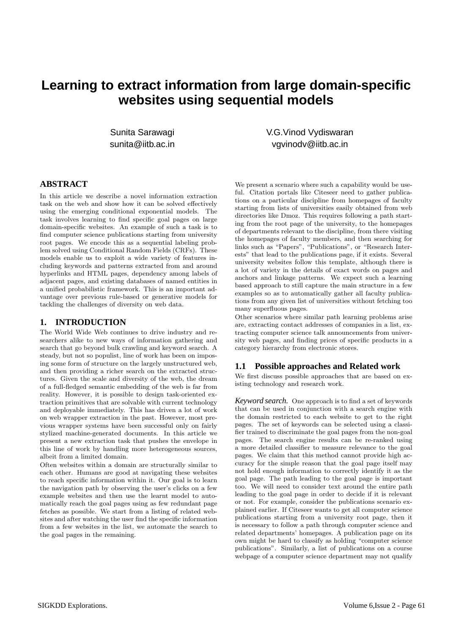# **Learning to extract information from large domain-specific websites using sequential models**

Sunita Sarawagi sunita@iitb.ac.in V.G.Vinod Vydiswaran vgvinodv@iitb.ac.in

# **ABSTRACT**

In this article we describe a novel information extraction task on the web and show how it can be solved effectively using the emerging conditional exponential models. The task involves learning to find specific goal pages on large domain-specific websites. An example of such a task is to find computer science publications starting from university root pages. We encode this as a sequential labeling problem solved using Conditional Random Fields (CRFs). These models enable us to exploit a wide variety of features including keywords and patterns extracted from and around hyperlinks and HTML pages, dependency among labels of adjacent pages, and existing databases of named entities in a unified probabilistic framework. This is an important advantage over previous rule-based or generative models for tackling the challenges of diversity on web data.

## **1. INTRODUCTION**

The World Wide Web continues to drive industry and researchers alike to new ways of information gathering and search that go beyond bulk crawling and keyword search. A steady, but not so populist, line of work has been on imposing some form of structure on the largely unstructured web, and then providing a richer search on the extracted structures. Given the scale and diversity of the web, the dream of a full-fledged semantic embedding of the web is far from reality. However, it is possible to design task-oriented extraction primitives that are solvable with current technology and deployable immediately. This has driven a lot of work on web wrapper extraction in the past. However, most previous wrapper systems have been successful only on fairly stylized machine-generated documents. In this article we present a new extraction task that pushes the envelope in this line of work by handling more heterogeneous sources, albeit from a limited domain.

Often websites within a domain are structurally similar to each other. Humans are good at navigating these websites to reach specific information within it. Our goal is to learn the navigation path by observing the user's clicks on a few example websites and then use the learnt model to automatically reach the goal pages using as few redundant page fetches as possible. We start from a listing of related websites and after watching the user find the specific information from a few websites in the list, we automate the search to the goal pages in the remaining.

We present a scenario where such a capability would be useful. Citation portals like Citeseer need to gather publications on a particular discipline from homepages of faculty starting from lists of universities easily obtained from web directories like Dmoz. This requires following a path starting from the root page of the university, to the homepages of departments relevant to the discipline, from there visiting the homepages of faculty members, and then searching for links such as "Papers", "Publications", or "Research Interests" that lead to the publications page, if it exists. Several university websites follow this template, although there is a lot of variety in the details of exact words on pages and anchors and linkage patterns. We expect such a learning based approach to still capture the main structure in a few examples so as to automatically gather all faculty publications from any given list of universities without fetching too many superfluous pages.

Other scenarios where similar path learning problems arise are, extracting contact addresses of companies in a list, extracting computer science talk announcements from university web pages, and finding prices of specific products in a category hierarchy from electronic stores.

# **1.1 Possible approaches and Related work**

We first discuss possible approaches that are based on existing technology and research work.

*Keyword search.* One approach is to find a set of keywords that can be used in conjunction with a search engine with the domain restricted to each website to get to the right pages. The set of keywords can be selected using a classifier trained to discriminate the goal pages from the non-goal pages. The search engine results can be re-ranked using a more detailed classifier to measure relevance to the goal pages. We claim that this method cannot provide high accuracy for the simple reason that the goal page itself may not hold enough information to correctly identify it as the goal page. The path leading to the goal page is important too. We will need to consider text around the entire path leading to the goal page in order to decide if it is relevant or not. For example, consider the publications scenario explained earlier. If Citeseer wants to get all computer science publications starting from a university root page, then it is necessary to follow a path through computer science and related departments' homepages. A publication page on its own might be hard to classify as holding "computer science publications". Similarly, a list of publications on a course webpage of a computer science department may not qualify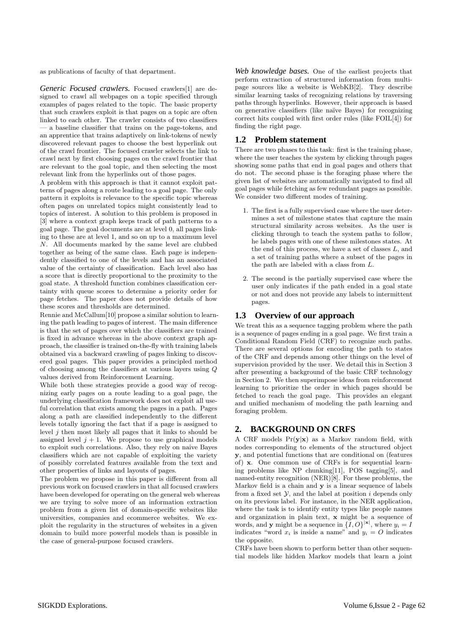as publications of faculty of that department.

*Generic Focused crawlers.* Focused crawlers[1] are designed to crawl all webpages on a topic specified through examples of pages related to the topic. The basic property that such crawlers exploit is that pages on a topic are often linked to each other. The crawler consists of two classifiers — a baseline classifier that trains on the page-tokens, and an apprentice that trains adaptively on link-tokens of newly discovered relevant pages to choose the best hyperlink out of the crawl frontier. The focused crawler selects the link to crawl next by first choosing pages on the crawl frontier that are relevant to the goal topic, and then selecting the most relevant link from the hyperlinks out of those pages.

A problem with this approach is that it cannot exploit patterns of pages along a route leading to a goal page. The only pattern it exploits is relevance to the specific topic whereas often pages on unrelated topics might consistently lead to topics of interest. A solution to this problem is proposed in [3] where a context graph keeps track of path patterns to a goal page. The goal documents are at level 0, all pages linking to these are at level 1, and so on up to a maximum level N. All documents marked by the same level are clubbed together as being of the same class. Each page is independently classified to one of the levels and has an associated value of the certainty of classification. Each level also has a score that is directly proportional to the proximity to the goal state. A threshold function combines classification certainty with queue scores to determine a priority order for page fetches. The paper does not provide details of how these scores and thresholds are determined.

Rennie and McCallum[10] propose a similar solution to learning the path leading to pages of interest. The main difference is that the set of pages over which the classifiers are trained is fixed in advance whereas in the above context graph approach, the classifier is trained on-the-fly with training labels obtained via a backward crawling of pages linking to discovered goal pages. This paper provides a principled method of choosing among the classifiers at various layers using Q values derived from Reinforcement Learning.

While both these strategies provide a good way of recognizing early pages on a route leading to a goal page, the underlying classification framework does not exploit all useful correlation that exists among the pages in a path. Pages along a path are classified independently to the different levels totally ignoring the fact that if a page is assigned to level  $j$  then most likely all pages that it links to should be assigned level  $j + 1$ . We propose to use graphical models to exploit such correlations. Also, they rely on naive Bayes classifiers which are not capable of exploiting the variety of possibly correlated features available from the text and other properties of links and layouts of pages.

The problem we propose in this paper is different from all previous work on focused crawlers in that all focused crawlers have been developed for operating on the general web whereas we are trying to solve more of an information extraction problem from a given list of domain-specific websites like universities, companies and ecommerce websites. We exploit the regularity in the structures of websites in a given domain to build more powerful models than is possible in the case of general-purpose focused crawlers.

*Web knowledge bases.* One of the earliest projects that perform extraction of structured information from multipage sources like a website is WebKB[2]. They describe similar learning tasks of recognizing relations by traversing paths through hyperlinks. However, their approach is based on generative classifiers (like na¨ıve Bayes) for recognizing correct hits coupled with first order rules (like FOIL[4]) for finding the right page.

## **1.2 Problem statement**

There are two phases to this task: first is the training phase, where the user teaches the system by clicking through pages showing some paths that end in goal pages and others that do not. The second phase is the foraging phase where the given list of websites are automatically navigated to find all goal pages while fetching as few redundant pages as possible. We consider two different modes of training.

- 1. The first is a fully supervised case where the user determines a set of milestone states that capture the main structural similarity across websites. As the user is clicking through to teach the system paths to follow, he labels pages with one of these milestones states. At the end of this process, we have a set of classes  $L$ , and a set of training paths where a subset of the pages in the path are labeled with a class from L.
- 2. The second is the partially supervised case where the user only indicates if the path ended in a goal state or not and does not provide any labels to intermittent pages.

## **1.3 Overview of our approach**

We treat this as a sequence tagging problem where the path is a sequence of pages ending in a goal page. We first train a Conditional Random Field (CRF) to recognize such paths. There are several options for encoding the path to states of the CRF and depends among other things on the level of supervision provided by the user. We detail this in Section 3 after presenting a background of the basic CRF technology in Section 2. We then superimpose ideas from reinforcement learning to prioritize the order in which pages should be fetched to reach the goal page. This provides an elegant and unified mechanism of modeling the path learning and foraging problem.

# **2. BACKGROUND ON CRFS**

A CRF models  $Pr(y|x)$  as a Markov random field, with nodes corresponding to elements of the structured object y, and potential functions that are conditional on (features of) x. One common use of CRFs is for sequential learning problems like NP chunking[11], POS tagging[5], and named-entity recognition (NER)[8]. For these problems, the Markov field is a chain and y is a linear sequence of labels from a fixed set  $\mathcal{Y}$ , and the label at position i depends only on its previous label. For instance, in the NER application, where the task is to identify entity types like people names and organization in plain text, x might be a sequence of words, and **y** might be a sequence in  $\{I, O\}^{|\mathbf{x}|}$ , where  $y_i = I$ indicates "word  $x_i$  is inside a name" and  $y_i = O$  indicates the opposite.

CRFs have been shown to perform better than other sequential models like hidden Markov models that learn a joint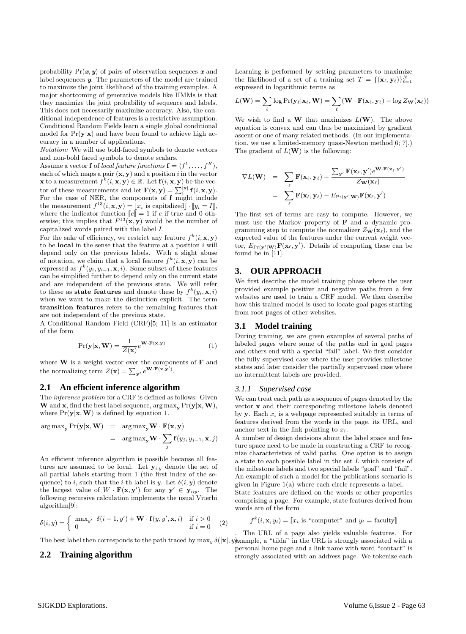probability  $Pr(x, y)$  of pairs of observation sequences x and label sequences y. The parameters of the model are trained to maximize the joint likelihood of the training examples. A major shortcoming of generative models like HMMs is that they maximize the joint probability of sequence and labels. This does not necessarily maximize accuracy. Also, the conditional independence of features is a restrictive assumption. Conditional Random Fields learn a single global conditional model for  $Pr(y|x)$  and have been found to achieve high accuracy in a number of applications.

Notation: We will use bold-faced symbols to denote vectors and non-bold faced symbols to denote scalars.

Assume a vector **f** of *local feature functions*  $\mathbf{f} = \langle f^1, \ldots, f^K \rangle$ , each of which maps a pair  $(x, y)$  and a position i in the vector **x** to a measurement  $f^k(i, \mathbf{x}, \mathbf{y}) \in \mathbb{R}$ . Let  $f(i, \mathbf{x}, \mathbf{y})$  be the vector of these measurements and let  $\mathbf{F}(\mathbf{x}, \mathbf{y}) = \sum_{i=1}^{|\mathbf{x}|} \mathbf{f}(i, \mathbf{x}, \mathbf{y}).$ For the case of NER, the components of f might include the measurement  $f^{13}(i, \mathbf{x}, \mathbf{y}) = [x_i \text{ is capitalized}] \cdot [y_i = I],$ where the indicator function  $\llbracket c \rrbracket = 1$  if c if true and 0 otherwise; this implies that  $F^{13}(\mathbf{x}, \mathbf{y})$  would be the number of capitalized words paired with the label I.

For the sake of efficiency, we restrict any feature  $f^k(i, \mathbf{x}, \mathbf{y})$ to be **local** in the sense that the feature at a position  $i$  will depend only on the previous labels. With a slight abuse of notation, we claim that a local feature  $f^k(i, \mathbf{x}, \mathbf{y})$  can be expressed as  $f^k(y_i, y_{i-1}, \mathbf{x}, i)$ . Some subset of these features can be simplified further to depend only on the current state and are independent of the previous state. We will refer to these as state features and denote these by  $f^k(y_i, \mathbf{x}, i)$ when we want to make the distinction explicit. The term transition features refers to the remaining features that are not independent of the previous state.

A Conditional Random Field (CRF)[5; 11] is an estimator of the form

$$
Pr(\mathbf{y}|\mathbf{x}, \mathbf{W}) = \frac{1}{Z(\mathbf{x})} e^{\mathbf{W} \cdot \mathbf{F}(\mathbf{x}, \mathbf{y})}
$$
(1)

where  $W$  is a weight vector over the components of  $F$  and the normalizing term  $Z(\mathbf{x}) = \sum_{\mathbf{y}'} e^{\mathbf{W} \cdot \mathbf{F}(\mathbf{x}, \mathbf{y}')}$ .

#### **2.1 An efficient inference algorithm**

The inference problem for a CRF is defined as follows: Given W and x, find the best label sequence, arg max,  $Pr(y|\mathbf{x}, \mathbf{W})$ , where  $Pr(\mathbf{y}|\mathbf{x}, \mathbf{W})$  is defined by equation 1.

$$
\arg \max_{\mathbf{y}} \Pr(\mathbf{y}|\mathbf{x}, \mathbf{W}) = \arg \max_{\mathbf{y}} \mathbf{W} \cdot \mathbf{F}(\mathbf{x}, \mathbf{y})
$$

$$
= \arg \max_{\mathbf{y}} \mathbf{W} \cdot \sum_{j} \mathbf{f}(y_j, y_{j-1}, \mathbf{x}, j)
$$

An efficient inference algorithm is possible because all features are assumed to be local. Let  $y_{i:y}$  denote the set of all partial labels starting from 1 (the first index of the sequence) to i, such that the i-th label is y. Let  $\delta(i, y)$  denote the largest value of  $W \cdot \mathbf{F}(\mathbf{x}, \mathbf{y}')$  for any  $\mathbf{y}' \in \mathbf{y}_{i:y}$ . The following recursive calculation implements the usual Viterbi algorithm[9]:

$$
\delta(i, y) = \begin{cases} \max_{y'} \ \delta(i - 1, y') + \mathbf{W} \cdot \mathbf{f}(y, y', \mathbf{x}, i) & \text{if } i > 0 \\ 0 & \text{if } i = 0 \end{cases} \tag{2}
$$

#### **2.2 Training algorithm**

Learning is performed by setting parameters to maximize the likelihood of a set of a training set  $T = \{(\mathbf{x}_{\ell}, \mathbf{y}_{\ell})\}_{\ell=1}^{N}$ expressed in logarithmic terms as

$$
L(\mathbf{W}) = \sum_{\ell} \log \Pr(\mathbf{y}_{\ell} | \mathbf{x}_{\ell}, \mathbf{W}) = \sum_{\ell} (\mathbf{W} \cdot \mathbf{F}(\mathbf{x}_{\ell}, \mathbf{y}_{\ell}) - \log Z_{\mathbf{W}}(\mathbf{x}_{\ell}))
$$

We wish to find a W that maximizes  $L(W)$ . The above equation is convex and can thus be maximized by gradient ascent or one of many related methods. (In our implementation, we use a limited-memory quasi-Newton method[6; 7].) The gradient of  $L(\mathbf{W})$  is the following:

$$
\nabla L(\mathbf{W}) = \sum_{\ell} \mathbf{F}(\mathbf{x}_{\ell}, \mathbf{y}_{\ell}) - \frac{\sum_{\mathbf{y'}} \mathbf{F}(\mathbf{x}_{\ell}, \mathbf{y'}) e^{\mathbf{W} \cdot \mathbf{F}(\mathbf{x}_{\ell}, \mathbf{y'})}}{Z_{\mathbf{W}}(\mathbf{x}_{\ell})}
$$
  
= 
$$
\sum_{\ell} \mathbf{F}(\mathbf{x}_{\ell}, \mathbf{y}_{\ell}) - E_{\Pr(\mathbf{y'}|\mathbf{W})} \mathbf{F}(\mathbf{x}_{\ell}, \mathbf{y'})
$$

The first set of terms are easy to compute. However, we must use the Markov property of F and a dynamic programming step to compute the normalizer  $Z_{\mathbf{W}}(\mathbf{x}_{\ell})$ , and the expected value of the features under the current weight vector,  $E_{\Pr(\mathbf{y}'|\mathbf{W})}\mathbf{F}(\mathbf{x}_{\ell}, \mathbf{y}')$ . Details of computing these can be found be in [11].

### **3. OUR APPROACH**

We first describe the model training phase where the user provided example positive and negative paths from a few websites are used to train a CRF model. We then describe how this trained model is used to locate goal pages starting from root pages of other websites.

### **3.1 Model training**

During training, we are given examples of several paths of labeled pages where some of the paths end in goal pages and others end with a special "fail" label. We first consider the fully supervised case where the user provides milestone states and later consider the partially supervised case where no intermittent labels are provided.

#### *3.1.1 Supervised case*

We can treat each path as a sequence of pages denoted by the vector x and their corresponding milestone labels denoted by  $y$ . Each  $x_i$  is a webpage represented suitably in terms of features derived from the words in the page, its URL, and anchor text in the link pointing to  $x_i$ .

A number of design decisions about the label space and feature space need to be made in constructing a CRF to recognize characteristics of valid paths. One option is to assign a state to each possible label in the set L which consists of the milestone labels and two special labels "goal" and "fail". An example of such a model for the publications scenario is given in Figure 1(a) where each circle represents a label.

State features are defined on the words or other properties comprising a page. For example, state features derived from words are of the form

 $f^{k}(i, \mathbf{x}, y_i) = \llbracket x_i \text{ is "computer" and } y_i = \text{faculty} \rrbracket$ 

The best label then corresponds to the path traced by  $\max_{y} \delta(|x|, y)$  as "tilda" in the URL is strongly associated with a . The URL of a page also yields valuable features. For personal home page and a link name with word "contact" is strongly associated with an address page. We tokenize each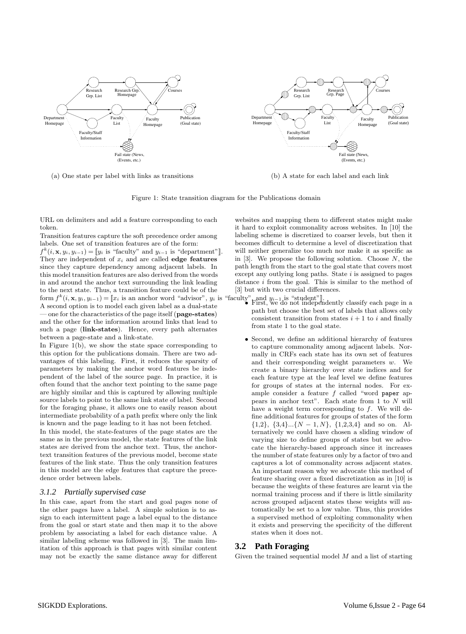

(a) One state per label with links as transitions



(b) A state for each label and each link

Figure 1: State transition diagram for the Publications domain

URL on delimiters and add a feature corresponding to each token.

Transition features capture the soft precedence order among labels. One set of transition features are of the form:  $f^k(i, \mathbf{x}, y_i, y_{i-1}) = [y_i \text{ is "faculty" and } y_{i-1} \text{ is "department" }].$ They are independent of  $x_i$  and are called **edge features** since they capture dependency among adjacent labels. In this model transition features are also derived from the words in and around the anchor text surrounding the link leading to the next state. Thus, a transition feature could be of the to the next state. Thus, a transition feature could be of the form  $f^k(i, \mathbf{x}, y_i, y_{i-1}) = [x_i \text{ is an anchor word "advisor", } y_i \text{ is "faculty", and } y_{i-1} \text{ is "student}']$ . A second option is to model each given label as a dual-state — one for the characteristics of the page itself (**page-states**) and the other for the information around links that lead to such a page (link-states). Hence, every path alternates between a page-state and a link-state.

In Figure 1(b), we show the state space corresponding to this option for the publications domain. There are two advantages of this labeling. First, it reduces the sparsity of parameters by making the anchor word features be independent of the label of the source page. In practice, it is often found that the anchor text pointing to the same page are highly similar and this is captured by allowing multiple source labels to point to the same link state of label. Second for the foraging phase, it allows one to easily reason about intermediate probability of a path prefix where only the link is known and the page leading to it has not been fetched.

In this model, the state-features of the page states are the same as in the previous model, the state features of the link states are derived from the anchor text. Thus, the anchortext transition features of the previous model, become state features of the link state. Thus the only transition features in this model are the edge features that capture the precedence order between labels.

## *3.1.2 Partially supervised case*

In this case, apart from the start and goal pages none of the other pages have a label. A simple solution is to assign to each intermittent page a label equal to the distance from the goal or start state and then map it to the above problem by associating a label for each distance value. A similar labeling scheme was followed in [3]. The main limitation of this approach is that pages with similar content may not be exactly the same distance away for different websites and mapping them to different states might make it hard to exploit commonality across websites. In [10] the labeling scheme is discretized to coarser levels, but then it becomes difficult to determine a level of discretization that will neither generalize too much nor make it as specific as in  $[3]$ . We propose the following solution. Choose N, the path length from the start to the goal state that covers most except any outlying long paths. State  $i$  is assigned to pages distance i from the goal. This is similar to the method of [3] but with two crucial differences.

- $\bullet$  First, we do not independently classify each page in a path but choose the best set of labels that allows only consistent transition from states  $i + 1$  to i and finally from state 1 to the goal state.
- Second, we define an additional hierarchy of features to capture commonality among adjacent labels. Normally in CRFs each state has its own set of features and their corresponding weight parameters  $w$ . We create a binary hierarchy over state indices and for each feature type at the leaf level we define features for groups of states at the internal nodes. For example consider a feature  $f$  called "word paper appears in anchor text". Each state from  $1$  to  $N$  will have a weight term corresponding to  $f$ . We will define additional features for groups of states of the form  ${1,2}, {3,4}...{N-1,N}, {1,2,3,4}$  and so on. Alternatively we could have chosen a sliding window of varying size to define groups of states but we advocate the hierarchy-based approach since it increases the number of state features only by a factor of two and captures a lot of commonality across adjacent states. An important reason why we advocate this method of feature sharing over a fixed discretization as in [10] is because the weights of these features are learnt via the normal training process and if there is little similarity across grouped adjacent states these weights will automatically be set to a low value. Thus, this provides a supervised method of exploiting commonality when it exists and preserving the specificity of the different states when it does not.

# **3.2 Path Foraging**

Given the trained sequential model  $M$  and a list of starting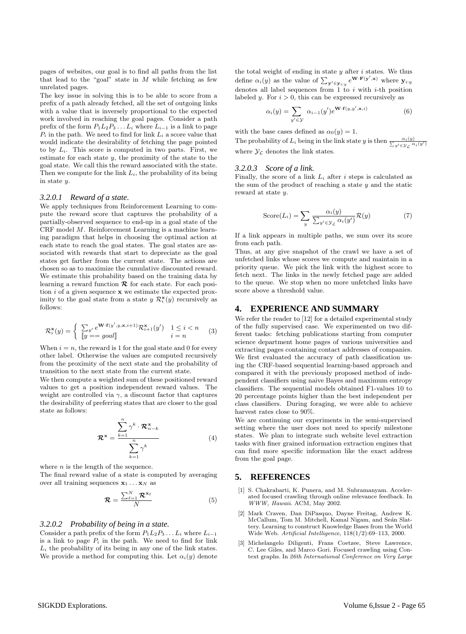pages of websites, our goal is to find all paths from the list that lead to the "goal" state in  $M$  while fetching as few unrelated pages.

The key issue in solving this is to be able to score from a prefix of a path already fetched, all the set of outgoing links with a value that is inversely proportional to the expected work involved in reaching the goal pages. Consider a path prefix of the form  $P_1L_2P_3 \ldots L_i$  where  $L_{i-1}$  is a link to page  $P_i$  in the path. We need to find for link  $L_i$  a score value that would indicate the desirability of fetching the page pointed to by  $L_i$ . This score is computed in two parts. First, we estimate for each state  $y$ , the proximity of the state to the goal state. We call this the reward associated with the state. Then we compute for the link  $L_i$ , the probability of its being in state y.

#### *3.2.0.1 Reward of a state.*

We apply techniques from Reinforcement Learning to compute the reward score that captures the probability of a partially-observed sequence to end-up in a goal state of the CRF model M. Reinforcement Learning is a machine learning paradigm that helps in choosing the optimal action at each state to reach the goal states. The goal states are associated with rewards that start to depreciate as the goal states get farther from the current state. The actions are chosen so as to maximize the cumulative discounted reward. We estimate this probability based on the training data by learning a reward function  $\mathcal R$  for each state. For each position  $i$  of a given sequence  $x$  we estimate the expected proximity to the goal state from a state  $y \mathcal{R}_i^{\mathbf{x}}(y)$  recursively as follows:

$$
\mathcal{R}_i^{\mathbf{x}}(y) = \begin{cases} \sum_{y'} e^{\mathbf{W} \cdot \mathbf{f}(y', y, \mathbf{x}, i+1)} \mathcal{R}_{i+1}^{\mathbf{x}}(y') & 1 \le i < n \\ \llbracket y == goal \rrbracket & i = n \end{cases} \tag{3}
$$

When  $i = n$ , the reward is 1 for the goal state and 0 for every other label. Otherwise the values are computed recursively from the proximity of the next state and the probability of transition to the next state from the current state.

We then compute a weighted sum of these positioned reward values to get a position independent reward values. The weight are controlled via  $\gamma$ , a discount factor that captures the desirability of preferring states that are closer to the goal state as follows:

$$
\mathcal{R}^{\mathbf{x}} = \frac{\sum_{k=1}^{n} \gamma^{k} \cdot \mathcal{R}_{n-k}^{\mathbf{x}}}{\sum_{k=1}^{n} \gamma^{k}}
$$
(4)

where  $n$  is the length of the sequence.

The final reward value of a state is computed by averaging over all training sequences  $x_1 \ldots x_N$  as

$$
\mathcal{R} = \frac{\sum_{\ell=1}^{N} \mathcal{R}^{\mathbf{x}_{\ell}}}{N} \tag{5}
$$

#### *3.2.0.2 Probability of being in a state.*

Consider a path prefix of the form  $P_1L_2P_3 \ldots L_i$  where  $L_{i-1}$ is a link to page  $P_i$  in the path. We need to find for link  $L_i$  the probability of its being in any one of the link states. We provide a method for computing this. Let  $\alpha_i(y)$  denote the total weight of ending in state  $y$  after  $i$  states. We thus define  $\alpha_i(y)$  as the value of  $\sum_{\mathbf{y}' \in \mathbf{y}_{i:y}} e^{\mathbf{W} \cdot \mathbf{F}(\mathbf{y}',\mathbf{x})}$  where  $\mathbf{y}_{i:y}$ denotes all label sequences from  $1$  to i with i-th position labeled y. For  $i > 0$ , this can be expressed recursively as

$$
\alpha_i(y) = \sum_{y' \in \mathcal{Y}} \alpha_{i-1}(y') e^{\mathbf{W} \cdot \mathbf{f}(y, y', \mathbf{x}, i)}
$$
(6)

with the base cases defined as  $\alpha_0(y) = 1$ .

The probability of  $L_i$  being in the link state y is then  $\frac{\alpha_i(y)}{\sum_{y'\in\mathcal{Y}_\mathcal{L}}\alpha_i(y')}$ where  $\mathcal{Y}_\mathcal{L}$  denotes the link states.

#### *3.2.0.3 Score of a link.*

Finally, the score of a link  $L_i$  after i steps is calculated as the sum of the product of reaching a state  $y$  and the static reward at state y.

$$
\text{Score}(L_i) = \sum_{y} \frac{\alpha_i(y)}{\sum_{y' \in \mathcal{Y}_{\mathcal{L}}} \alpha_i(y')} \mathcal{R}(y) \tag{7}
$$

If a link appears in multiple paths, we sum over its score from each path.

Thus, at any give snapshot of the crawl we have a set of unfetched links whose scores we compute and maintain in a priority queue. We pick the link with the highest score to fetch next. The links in the newly fetched page are added to the queue. We stop when no more unfetched links have score above a threshold value.

#### **4. EXPERIENCE AND SUMMARY**

We refer the reader to [12] for a detailed experimental study of the fully supervised case. We experimented on two different tasks: fetching publications starting from computer science department home pages of various universities and extracting pages containing contact addresses of companies. We first evaluated the accuracy of path classification using the CRF-based sequential learning-based approach and compared it with the previously proposed method of independent classifiers using naive Bayes and maximum entropy classifiers. The sequential models obtained F1-values 10 to 20 percentage points higher than the best independent per class classifiers. During foraging, we were able to achieve harvest rates close to 90%.

We are continuing our experiments in the semi-supervised setting where the user does not need to specify milestone states. We plan to integrate such website level extraction tasks with finer grained information extraction engines that can find more specific information like the exact address from the goal page.

#### **5. REFERENCES**

- [1] S. Chakrabarti, K. Punera, and M. Subramanyam. Accelerated focused crawling through online relevance feedback. In WWW, Hawaii. ACM, May 2002.
- Mark Craven, Dan DiPasquo, Dayne Freitag, Andrew K. McCallum, Tom M. Mitchell, Kamal Nigam, and Seán Slattery. Learning to construct Knowledge Bases from the World Wide Web. Artificial Intelligence, 118(1/2):69–113, 2000.
- [3] Michelangelo Diligenti, Frans Coetzee, Steve Lawrence, C. Lee Giles, and Marco Gori. Focused crawling using Context graphs. In 26th International Conference on Very Large